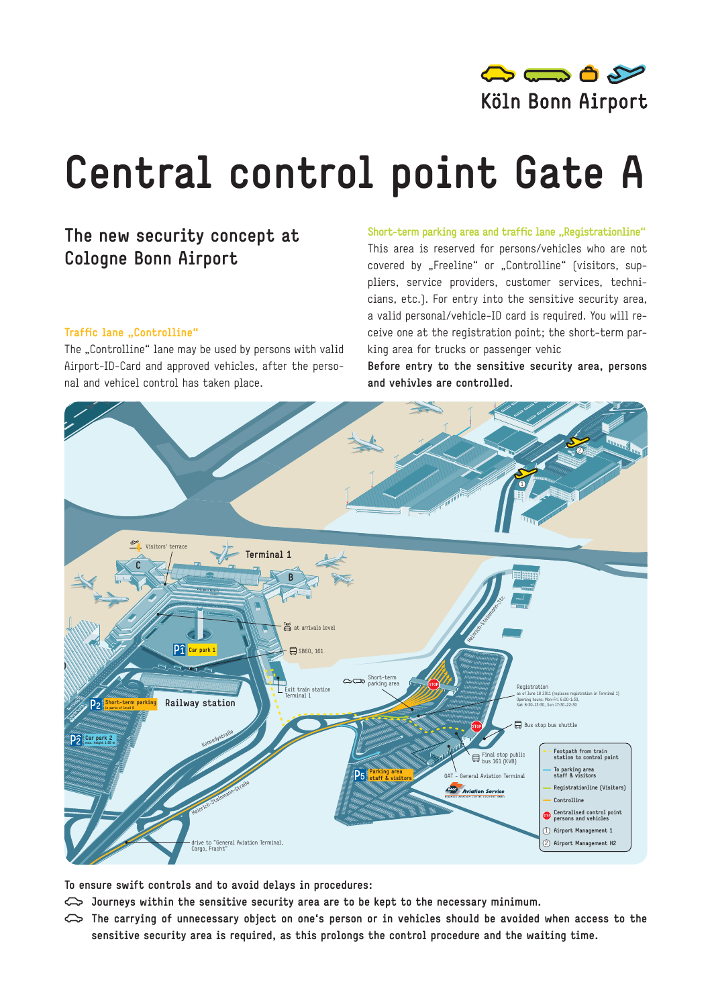

## **Central control point Gate A**

## **The new security concept at Cologne Bonn Airport**

## **Traffic lane "Controlline"**

The ..Controlline" lane may be used by persons with valid Airport-ID-Card and approved vehicles, after the personal and vehicel control has taken place.

**Short-term parking area and traffic lane "Registrationline"** This area is reserved for persons/vehicles who are not covered by "Freeline" or "Controlline" (visitors, suppliers, service providers, customer services, technicians, etc.). For entry into the sensitive security area, a valid personal/vehicle-ID card is required. You will receive one at the registration point; the short-term parking area for trucks or passenger vehic

**Before entry to the sensitive security area, persons and vehivles are controlled.**



**To ensure swift controls and to avoid delays in procedures:** 

- Journeys within the sensitive security area are to be kept to the necessary minimum.
- e **The carrying of unnecessary object on one's person or in vehicles should be avoided when access to the sensitive security area is required, as this prolongs the control procedure and the waiting time.**